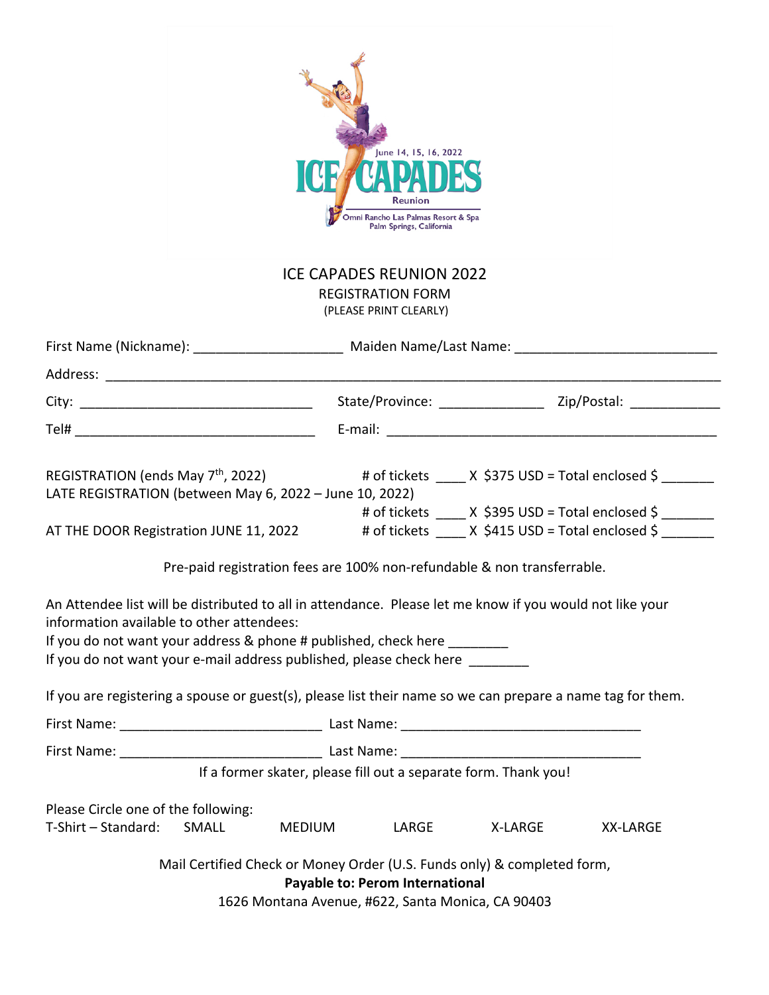| June 14, 15, 16, 2022<br>Reunion<br>Omni Rancho Las Palmas Resort & Spa<br>Palm Springs, California                                                                                                                                                                                                  |                                                                         |                                                                                      |       |         |          |  |  |  |  |  |  |
|------------------------------------------------------------------------------------------------------------------------------------------------------------------------------------------------------------------------------------------------------------------------------------------------------|-------------------------------------------------------------------------|--------------------------------------------------------------------------------------|-------|---------|----------|--|--|--|--|--|--|
| <b>ICE CAPADES REUNION 2022</b>                                                                                                                                                                                                                                                                      |                                                                         |                                                                                      |       |         |          |  |  |  |  |  |  |
| <b>REGISTRATION FORM</b><br>(PLEASE PRINT CLEARLY)                                                                                                                                                                                                                                                   |                                                                         |                                                                                      |       |         |          |  |  |  |  |  |  |
|                                                                                                                                                                                                                                                                                                      |                                                                         |                                                                                      |       |         |          |  |  |  |  |  |  |
|                                                                                                                                                                                                                                                                                                      |                                                                         |                                                                                      |       |         |          |  |  |  |  |  |  |
|                                                                                                                                                                                                                                                                                                      |                                                                         |                                                                                      |       |         |          |  |  |  |  |  |  |
|                                                                                                                                                                                                                                                                                                      |                                                                         |                                                                                      |       |         |          |  |  |  |  |  |  |
| REGISTRATION (ends May $7th$ , 2022) # of tickets $X$ \$375 USD = Total enclosed \$<br>LATE REGISTRATION (between May 6, 2022 - June 10, 2022)<br># of tickets $\_\_\_\$ X \$395 USD = Total enclosed \$<br>AT THE DOOR Registration JUNE 11, 2022 # of tickets ____ X \$415 USD = Total enclosed \$ |                                                                         |                                                                                      |       |         |          |  |  |  |  |  |  |
|                                                                                                                                                                                                                                                                                                      | Pre-paid registration fees are 100% non-refundable & non transferrable. |                                                                                      |       |         |          |  |  |  |  |  |  |
| An Attendee list will be distributed to all in attendance. Please let me know if you would not like your<br>information available to other attendees:<br>If you do not want your address & phone # published, check here<br>If you do not want your e-mail address published, please check here      |                                                                         |                                                                                      |       |         |          |  |  |  |  |  |  |
| If you are registering a spouse or guest(s), please list their name so we can prepare a name tag for them.                                                                                                                                                                                           |                                                                         |                                                                                      |       |         |          |  |  |  |  |  |  |
|                                                                                                                                                                                                                                                                                                      |                                                                         |                                                                                      |       |         |          |  |  |  |  |  |  |
|                                                                                                                                                                                                                                                                                                      |                                                                         |                                                                                      |       |         |          |  |  |  |  |  |  |
|                                                                                                                                                                                                                                                                                                      | If a former skater, please fill out a separate form. Thank you!         |                                                                                      |       |         |          |  |  |  |  |  |  |
| Please Circle one of the following:                                                                                                                                                                                                                                                                  |                                                                         |                                                                                      |       |         |          |  |  |  |  |  |  |
| T-Shirt - Standard:                                                                                                                                                                                                                                                                                  | SMALL                                                                   | MEDIUM                                                                               | LARGE | X-LARGE | XX-LARGE |  |  |  |  |  |  |
|                                                                                                                                                                                                                                                                                                      | Mail Certified Check or Money Order (U.S. Funds only) & completed form, | Payable to: Perom International<br>1626 Montana Avenue, #622, Santa Monica, CA 90403 |       |         |          |  |  |  |  |  |  |